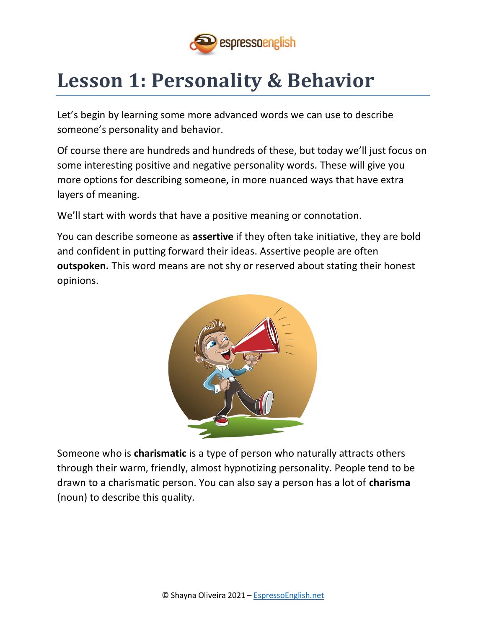

# **Lesson 1: Personality & Behavior**

Let's begin by learning some more advanced words we can use to describe someone's personality and behavior.

Of course there are hundreds and hundreds of these, but today we'll just focus on some interesting positive and negative personality words. These will give you more options for describing someone, in more nuanced ways that have extra layers of meaning.

We'll start with words that have a positive meaning or connotation.

You can describe someone as **assertive** if they often take initiative, they are bold and confident in putting forward their ideas. Assertive people are often **outspoken.** This word means are not shy or reserved about stating their honest opinions.



Someone who is **charismatic** is a type of person who naturally attracts others through their warm, friendly, almost hypnotizing personality. People tend to be drawn to a charismatic person. You can also say a person has a lot of **charisma**  (noun) to describe this quality.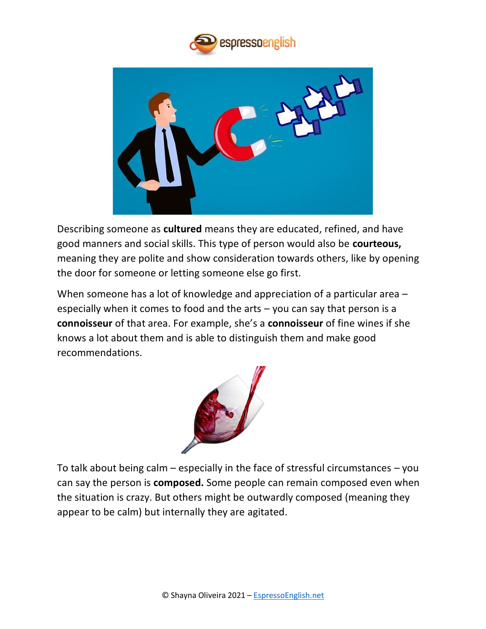



Describing someone as **cultured** means they are educated, refined, and have good manners and social skills. This type of person would also be **courteous,**  meaning they are polite and show consideration towards others, like by opening the door for someone or letting someone else go first.

When someone has a lot of knowledge and appreciation of a particular area – especially when it comes to food and the arts – you can say that person is a **connoisseur** of that area. For example, she's a **connoisseur** of fine wines if she knows a lot about them and is able to distinguish them and make good recommendations.



To talk about being calm – especially in the face of stressful circumstances – you can say the person is **composed.** Some people can remain composed even when the situation is crazy. But others might be outwardly composed (meaning they appear to be calm) but internally they are agitated.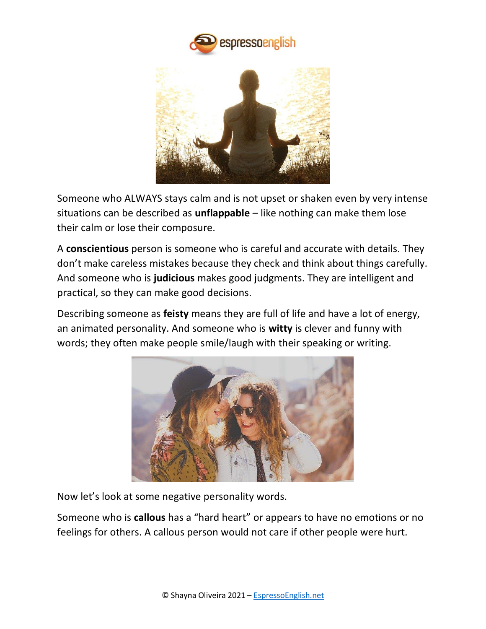



Someone who ALWAYS stays calm and is not upset or shaken even by very intense situations can be described as **unflappable** – like nothing can make them lose their calm or lose their composure.

A **conscientious** person is someone who is careful and accurate with details. They don't make careless mistakes because they check and think about things carefully. And someone who is **judicious** makes good judgments. They are intelligent and practical, so they can make good decisions.

Describing someone as **feisty** means they are full of life and have a lot of energy, an animated personality. And someone who is **witty** is clever and funny with words; they often make people smile/laugh with their speaking or writing.



Now let's look at some negative personality words.

Someone who is **callous** has a "hard heart" or appears to have no emotions or no feelings for others. A callous person would not care if other people were hurt.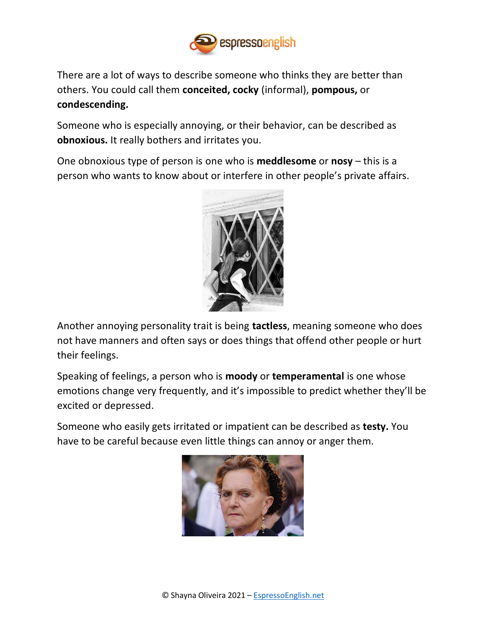

There are a lot of ways to describe someone who thinks they are better than others. You could call them **conceited, cocky** (informal), **pompous,** or **condescending.**

Someone who is especially annoying, or their behavior, can be described as **obnoxious.** It really bothers and irritates you.

One obnoxious type of person is one who is **meddlesome** or **nosy** – this is a person who wants to know about or interfere in other people's private affairs.



Another annoying personality trait is being **tactless**, meaning someone who does not have manners and often says or does things that offend other people or hurt their feelings.

Speaking of feelings, a person who is **moody** or **temperamental** is one whose emotions change very frequently, and it's impossible to predict whether they'll be excited or depressed.

Someone who easily gets irritated or impatient can be described as **testy.** You have to be careful because even little things can annoy or anger them.

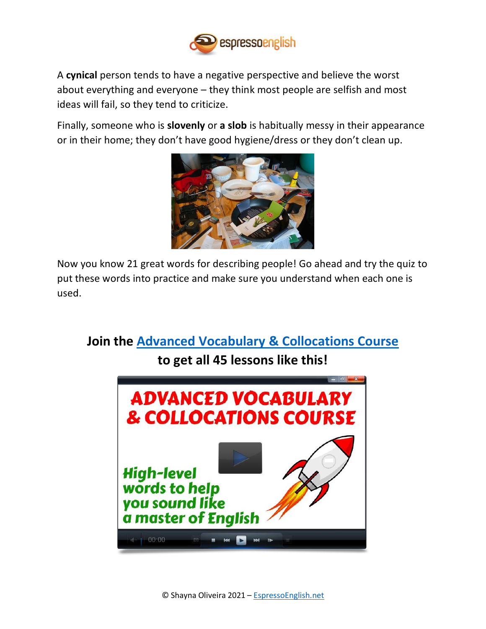

A **cynical** person tends to have a negative perspective and believe the worst about everything and everyone – they think most people are selfish and most ideas will fail, so they tend to criticize.

Finally, someone who is **slovenly** or **a slob** is habitually messy in their appearance or in their home; they don't have good hygiene/dress or they don't clean up.



Now you know 21 great words for describing people! Go ahead and try the quiz to put these words into practice and make sure you understand when each one is used.

**Join the [Advanced Vocabulary](https://www.espressoenglish.net/advanced-vocabulary-and-collocations-course/) & Collocations Course**

#### **to get all 45 lessons like this!**

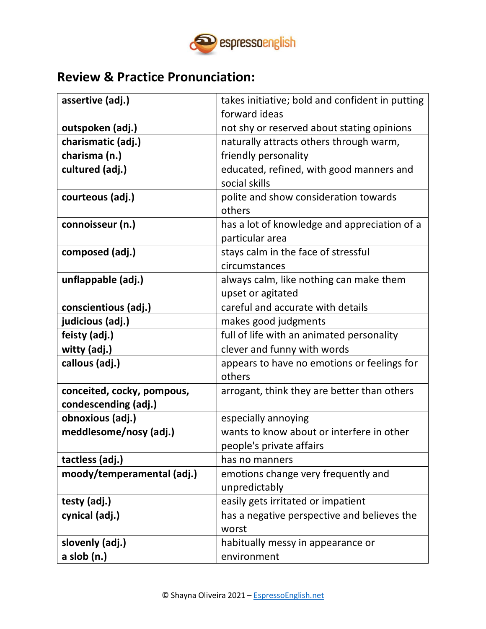

#### **Review & Practice Pronunciation:**

| assertive (adj.)           | takes initiative; bold and confident in putting |  |  |
|----------------------------|-------------------------------------------------|--|--|
|                            | forward ideas                                   |  |  |
| outspoken (adj.)           | not shy or reserved about stating opinions      |  |  |
| charismatic (adj.)         | naturally attracts others through warm,         |  |  |
| charisma (n.)              | friendly personality                            |  |  |
| cultured (adj.)            | educated, refined, with good manners and        |  |  |
|                            | social skills                                   |  |  |
| courteous (adj.)           | polite and show consideration towards           |  |  |
|                            | others                                          |  |  |
| connoisseur (n.)           | has a lot of knowledge and appreciation of a    |  |  |
|                            | particular area                                 |  |  |
| composed (adj.)            | stays calm in the face of stressful             |  |  |
|                            | circumstances                                   |  |  |
| unflappable (adj.)         | always calm, like nothing can make them         |  |  |
|                            | upset or agitated                               |  |  |
| conscientious (adj.)       | careful and accurate with details               |  |  |
| judicious (adj.)           | makes good judgments                            |  |  |
| feisty (adj.)              | full of life with an animated personality       |  |  |
| witty (adj.)               | clever and funny with words                     |  |  |
| callous (adj.)             | appears to have no emotions or feelings for     |  |  |
|                            | others                                          |  |  |
| conceited, cocky, pompous, | arrogant, think they are better than others     |  |  |
| condescending (adj.)       |                                                 |  |  |
| obnoxious (adj.)           | especially annoying                             |  |  |
| meddlesome/nosy (adj.)     | wants to know about or interfere in other       |  |  |
|                            | people's private affairs                        |  |  |
| tactless (adj.)            | has no manners                                  |  |  |
| moody/temperamental (adj.) | emotions change very frequently and             |  |  |
|                            | unpredictably                                   |  |  |
| testy (adj.)               | easily gets irritated or impatient              |  |  |
| cynical (adj.)             | has a negative perspective and believes the     |  |  |
|                            | worst                                           |  |  |
| slovenly (adj.)            | habitually messy in appearance or               |  |  |
| $a$ slob $(n.)$            | environment                                     |  |  |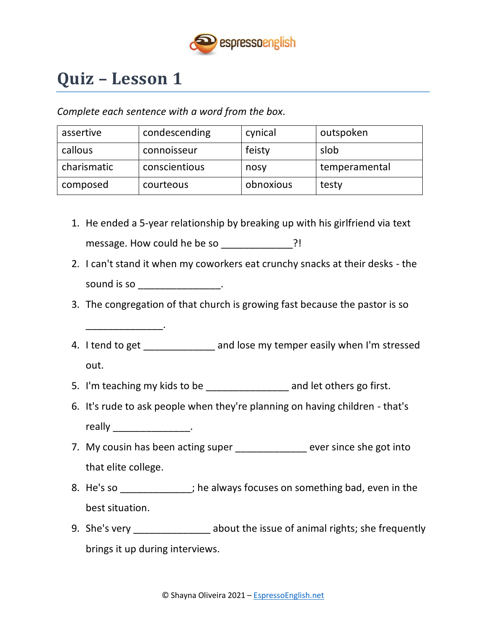

# **Quiz – Lesson 1**

\_\_\_\_\_\_\_\_\_\_\_\_\_\_.

*Complete each sentence with a word from the box.*

| assertive   | condescending | cynical   | outspoken     |
|-------------|---------------|-----------|---------------|
| callous     | connoisseur   | feisty    | slob          |
| charismatic | conscientious | nosy      | temperamental |
| composed    | courteous     | obnoxious | testy         |

- 1. He ended a 5-year relationship by breaking up with his girlfriend via text message. How could he be so \_\_\_\_\_\_\_\_\_\_\_\_\_?!
- 2. I can't stand it when my coworkers eat crunchy snacks at their desks the sound is so \_\_\_\_\_\_\_\_\_\_\_\_\_\_\_\_\_\_.
- 3. The congregation of that church is growing fast because the pastor is so
- 4. I tend to get \_\_\_\_\_\_\_\_\_\_\_\_\_\_ and lose my temper easily when I'm stressed out.
- 5. I'm teaching my kids to be \_\_\_\_\_\_\_\_\_\_\_\_\_\_\_\_\_\_ and let others go first.
- 6. It's rude to ask people when they're planning on having children that's really \_\_\_\_\_\_\_\_\_\_\_\_\_\_\_\_.
- 7. My cousin has been acting super The Section over since she got into that elite college.
- 8. He's so \_\_\_\_\_\_\_\_\_\_\_\_\_; he always focuses on something bad, even in the best situation.
- 9. She's very **Exercise 20** about the issue of animal rights; she frequently brings it up during interviews.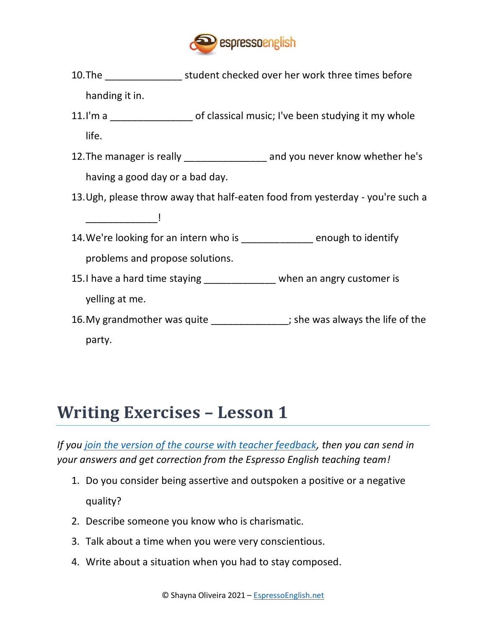

- 10.The \_\_\_\_\_\_\_\_\_\_\_\_\_\_ student checked over her work three times before handing it in.
- 11.I'm a **the of classical music; I've been studying it my whole** life.
- 12. The manager is really \_\_\_\_\_\_\_\_\_\_\_\_\_\_\_\_\_\_ and you never know whether he's having a good day or a bad day.
- 13.Ugh, please throw away that half-eaten food from yesterday you're such a

 $\frac{1}{\sqrt{2}}$ 

- 14. We're looking for an intern who is enough to identify problems and propose solutions.
- 15.I have a hard time staying example when an angry customer is yelling at me.
- 16. My grandmother was quite \_\_\_\_\_\_\_\_\_\_\_\_\_\_\_; she was always the life of the party.

### **Writing Exercises – Lesson 1**

*If you [join the version of the course with teacher feedback,](https://www.espressoenglish.net/advanced-vocabulary-and-collocations-course/) then you can send in your answers and get correction from the Espresso English teaching team!*

- 1. Do you consider being assertive and outspoken a positive or a negative quality?
- 2. Describe someone you know who is charismatic.
- 3. Talk about a time when you were very conscientious.
- 4. Write about a situation when you had to stay composed.